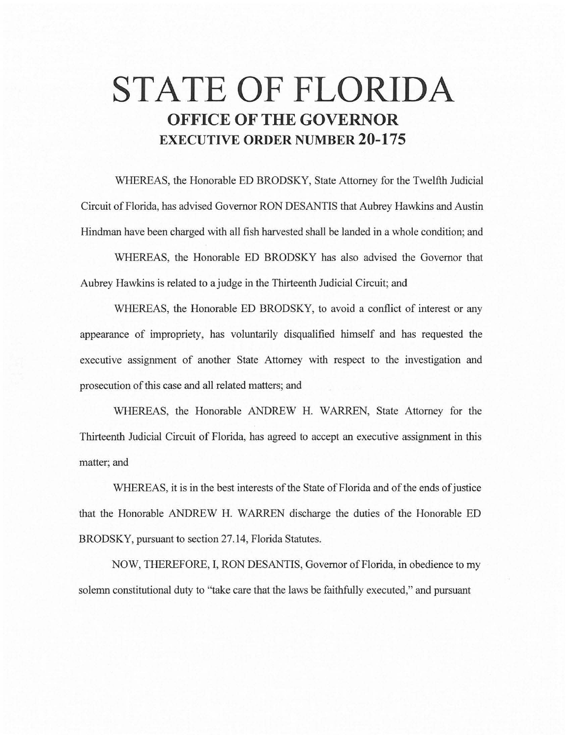# **STATE OF FLORIDA OFFICE OF THE GOVERNOR EXECUTIVE ORDER NUMBER 20-175**

WHEREAS, the Honorable ED BRODSKY, State Attorney for the Twelfth Judicial Circuit of Florida, has advised Governor RON DESANTIS that Aubrey Hawkins and Austin Hindman have been charged with all fish harvested shall be landed in a whole condition; and

WHEREAS, the Honorable ED BRODSKY has also advised the Governor that Aubrey Hawkins is related to a judge in the Thirteenth Judicial Circuit; and

WHEREAS, the Honorable ED BRODSKY, to avoid a conflict of interest or any appearance of impropriety, has voluntarily disqualified himself and has requested the executive assignment of another State Attorney with respect to the investigation and prosecution of this case and all related matters; and

WHEREAS, the Honorable ANDREW H. WARREN, State Attorney for the Thirteenth Judicial Circuit of Florida, has agreed to accept an executive assignment in this matter; and

WHEREAS, it is in the best interests of the State of Florida and of the ends of justice that the Honorable ANDREW H. WARREN discharge the duties of the Honorable ED BRODSKY, pursuant to section 27.14, Florida Statutes.

NOW, THEREFORE, I, RON DESANTIS, Governor of Florida, in obedience to my solemn constitutional duty to "take care that the laws be faithfully executed," and pursuant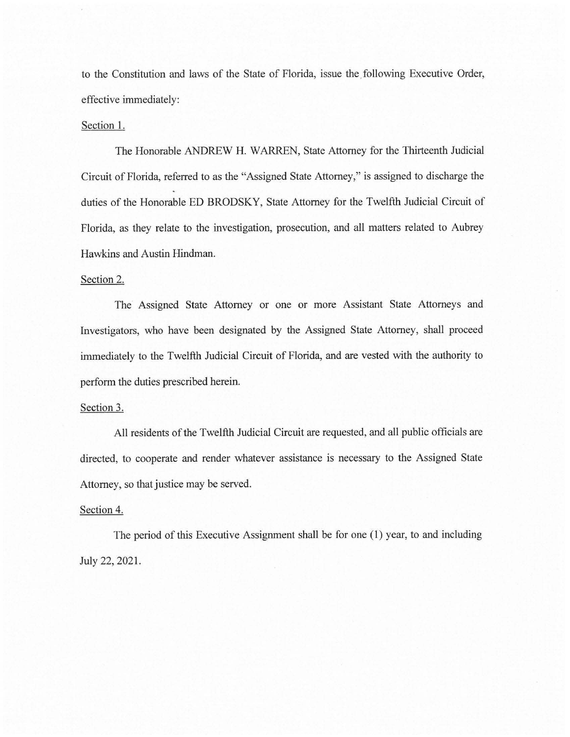to the Constitution and laws of the State of Florida, issue the following Executive Order, effective immediately:

## Section 1.

The Honorable ANDREW H. WARREN, State Attorney for the Thirteenth Judicial Circuit of Florida, referred to as the "Assigned State Attorney," is assigned to discharge the duties of the Honorable ED BRODSKY, State Attorney for the Twelfth Judicial Circuit of Florida, as they relate to the investigation, prosecution, and all matters related to Aubrey Hawkins and Austin Hindman.

# Section 2.

The Assigned State Attorney or one or more Assistant State Attorneys and Investigators, who have been designated by the Assigned State Attorney, shall proceed immediately to the Twelfth Judicial Circuit of Florida, and are vested with the authority to perform the duties prescribed herein.

## Section 3.

All residents of the Twelfth Judicial Circuit are requested, and all public officials are directed, to cooperate and render whatever assistance is necessary to the Assigned State Attorney, so that justice may be served.

#### Section 4.

The period of this Executive Assignment shall be for one (1) year, to and including July 22, 2021.